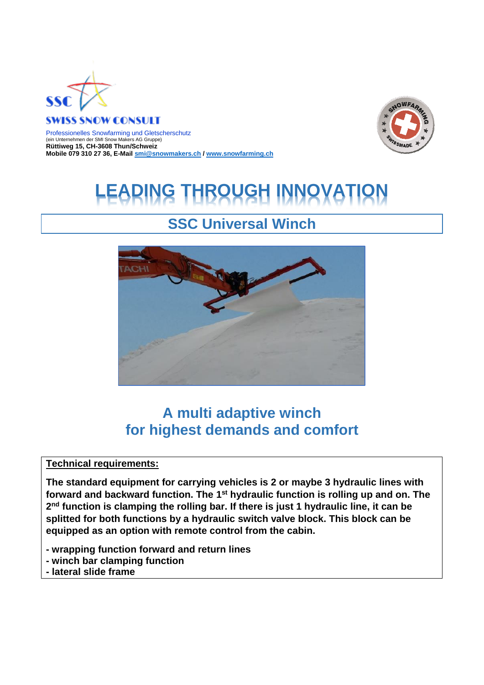

#### **SWISS SNOW CONSULT**

Professionelles Snowfarming und Gletscherschutz (ein Unternehmen der SMI Snow Makers AG Gruppe) **Rüttiweg 15, CH-3608 Thun/Schweiz Mobile 079 310 27 36, E-Mai[l smi@snowmakers.ch](mailto:smi@snowmakers.ch) / [www.snowfarming.ch](http://www.snowfarming.ch/)**



# **G THROUGH INNOVATION**

## **SSC Universal Winch**



## **A multi adaptive winch for highest demands and comfort**

#### **Technical requirements:**

**The standard equipment for carrying vehicles is 2 or maybe 3 hydraulic lines with**  forward and backward function. The 1<sup>st</sup> hydraulic function is rolling up and on. The **2 nd function is clamping the rolling bar. If there is just 1 hydraulic line, it can be splitted for both functions by a hydraulic switch valve block. This block can be equipped as an option with remote control from the cabin.** 

- **- wrapping function forward and return lines**
- **- winch bar clamping function**
- **- lateral slide frame**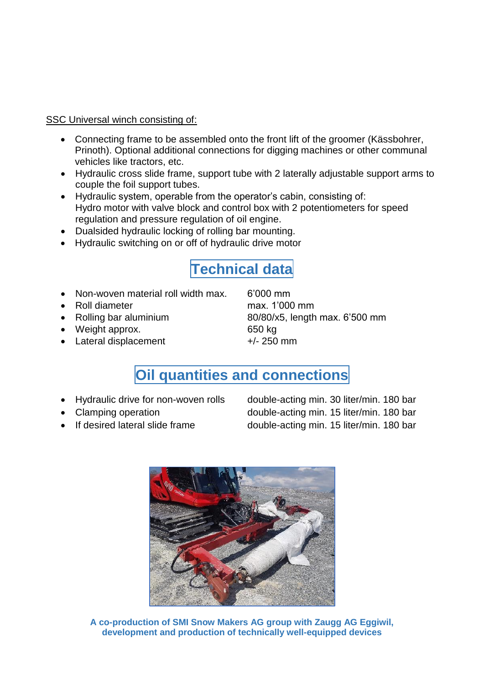#### SSC Universal winch consisting of:

- Connecting frame to be assembled onto the front lift of the groomer (Kässbohrer, Prinoth). Optional additional connections for digging machines or other communal vehicles like tractors, etc.
- Hydraulic cross slide frame, support tube with 2 laterally adjustable support arms to couple the foil support tubes.
- Hydraulic system, operable from the operator's cabin, consisting of: Hydro motor with valve block and control box with 2 potentiometers for speed regulation and pressure regulation of oil engine.
- Dualsided hydraulic locking of rolling bar mounting.
- Hydraulic switching on or off of hydraulic drive motor

## **Technical data**

- Non-woven material roll width max. 6'000 mm
- Roll diameter max. 1'000 mm
- 
- Weight approx. 650 kg
- Lateral displacement  $+/- 250$  mm

• Rolling bar aluminium 80/80/x5, length max. 6'500 mm

### **Oil quantities and connections**

- 
- 
- 

• Hydraulic drive for non-woven rolls double-acting min. 30 liter/min. 180 bar • Clamping operation double-acting min. 15 liter/min. 180 bar If desired lateral slide frame double-acting min. 15 liter/min. 180 bar



**A co-production of SMI Snow Makers AG group with Zaugg AG Eggiwil, development and production of technically well-equipped devices**